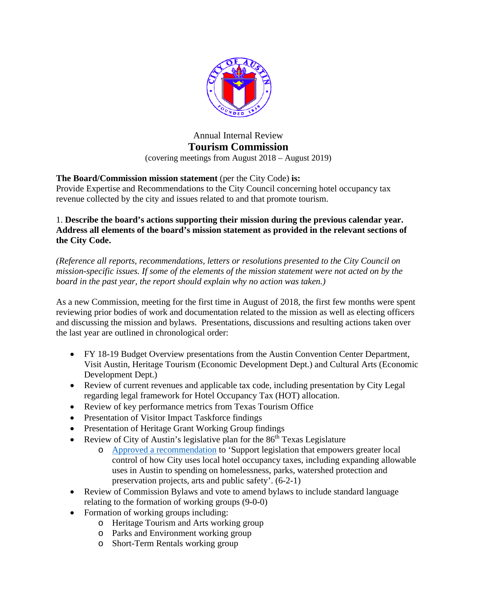

# Annual Internal Review **Tourism Commission** (covering meetings from August 2018 – August 2019)

# **The Board/Commission mission statement** (per the City Code) **is:**

Provide Expertise and Recommendations to the City Council concerning hotel occupancy tax revenue collected by the city and issues related to and that promote tourism.

## 1. **Describe the board's actions supporting their mission during the previous calendar year. Address all elements of the board's mission statement as provided in the relevant sections of the City Code.**

*(Reference all reports, recommendations, letters or resolutions presented to the City Council on mission-specific issues. If some of the elements of the mission statement were not acted on by the board in the past year, the report should explain why no action was taken.)* 

As a new Commission, meeting for the first time in August of 2018, the first few months were spent reviewing prior bodies of work and documentation related to the mission as well as electing officers and discussing the mission and bylaws. Presentations, discussions and resulting actions taken over the last year are outlined in chronological order:

- FY 18-19 Budget Overview presentations from the Austin Convention Center Department, Visit Austin, Heritage Tourism (Economic Development Dept.) and Cultural Arts (Economic Development Dept.)
- Review of current revenues and applicable tax code, including presentation by City Legal regarding legal framework for Hotel Occupancy Tax (HOT) allocation.
- Review of key performance metrics from Texas Tourism Office
- Presentation of Visitor Impact Taskforce findings
- Presentation of Heritage Grant Working Group findings
- Review of City of Austin's legislative plan for the  $86<sup>th</sup>$  Texas Legislature
	- o [Approved a recommendation](http://www.austintexas.gov/edims/document.cfm?id=316046) to 'Support legislation that empowers greater local control of how City uses local hotel occupancy taxes, including expanding allowable uses in Austin to spending on homelessness, parks, watershed protection and preservation projects, arts and public safety'. (6-2-1)
- Review of Commission Bylaws and vote to amend bylaws to include standard language relating to the formation of working groups (9-0-0)
- Formation of working groups including:
	- o Heritage Tourism and Arts working group
	- o Parks and Environment working group
	- o Short-Term Rentals working group